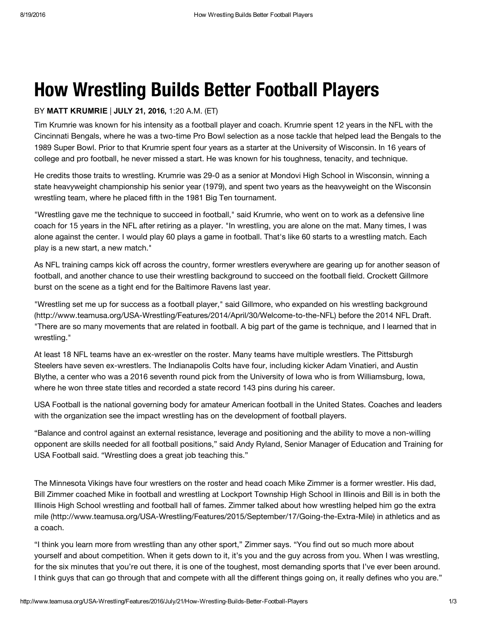# How Wrestling Builds Better Football Players

### BY MATT KRUMRIE | JULY 21, 2016, 1:20 A.M. (ET)

Tim Krumrie was known for his intensity as a football player and coach. Krumrie spent 12 years in the NFL with the Cincinnati Bengals, where he was a two-time Pro Bowl selection as a nose tackle that helped lead the Bengals to the 1989 Super Bowl. Prior to that Krumrie spent four years as a starter at the University of Wisconsin. In 16 years of college and pro football, he never missed a start. He was known for his toughness, tenacity, and technique.

He credits those traits to wrestling. Krumrie was 29-0 as a senior at Mondovi High School in Wisconsin, winning a state heavyweight championship his senior year (1979), and spent two years as the heavyweight on the Wisconsin wrestling team, where he placed fifth in the 1981 Big Ten tournament.

"Wrestling gave me the technique to succeed in football," said Krumrie, who went on to work as a defensive line coach for 15 years in the NFL after retiring as a player. "In wrestling, you are alone on the mat. Many times, I was alone against the center. I would play 60 plays a game in football. That's like 60 starts to a wrestling match. Each play is a new start, a new match."

As NFL training camps kick off across the country, former wrestlers everywhere are gearing up for another season of football, and another chance to use their wrestling background to succeed on the football field. Crockett Gillmore burst on the scene as a tight end for the Baltimore Ravens last year.

"Wrestling set me up for success as a football player," said Gillmore, who expanded on his wrestling background [\(http://www.teamusa.org/USA-Wrestling/Features/2014/April/30/Welcome-to-the-NFL\)](http://www.teamusa.org/USA-Wrestling/Features/2014/April/30/Welcome-to-the-NFL) before the 2014 NFL Draft. "There are so many movements that are related in football. A big part of the game is technique, and I learned that in wrestling."

At least 18 NFL teams have an ex-wrestler on the roster. Many teams have multiple wrestlers. The Pittsburgh Steelers have seven ex-wrestlers. The Indianapolis Colts have four, including kicker Adam Vinatieri, and Austin Blythe, a center who was a 2016 seventh round pick from the University of Iowa who is from Williamsburg, Iowa, where he won three state titles and recorded a state record 143 pins during his career.

USA Football is the national governing body for amateur American football in the United States. Coaches and leaders with the organization see the impact wrestling has on the development of football players.

"Balance and control against an external resistance, leverage and positioning and the ability to move a non-willing opponent are skills needed for all football positions," said Andy Ryland, Senior Manager of Education and Training for USA Football said. "Wrestling does a great job teaching this."

The Minnesota Vikings have four wrestlers on the roster and head coach Mike Zimmer is a former wrestler. His dad, Bill Zimmer coached Mike in football and wrestling at Lockport Township High School in Illinois and Bill is in both the Illinois High School wrestling and football hall of fames. Zimmer talked about how wrestling helped him go the extra mile [\(http://www.teamusa.org/USA-Wrestling/Features/2015/September/17/Going-the-Extra-Mile\)](http://www.teamusa.org/USA-Wrestling/Features/2015/September/17/Going-the-Extra-Mile) in athletics and as a coach.

"I think you learn more from wrestling than any other sport," Zimmer says. "You find out so much more about yourself and about competition. When it gets down to it, it's you and the guy across from you. When I was wrestling, for the six minutes that you're out there, it is one of the toughest, most demanding sports that I've ever been around. I think guys that can go through that and compete with all the different things going on, it really defines who you are."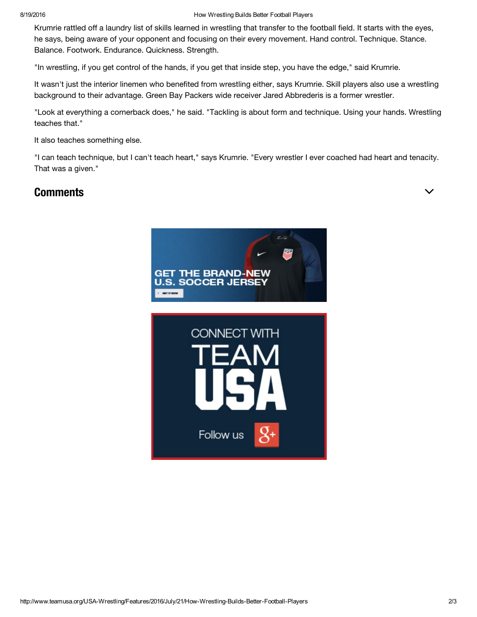#### 8/19/2016 How Wrestling Builds Better Football Players

Krumrie rattled off a laundry list of skills learned in wrestling that transfer to the football field. It starts with the eyes, he says, being aware of your opponent and focusing on their every movement. Hand control. Technique. Stance. Balance. Footwork. Endurance. Quickness. Strength.

"In wrestling, if you get control of the hands, if you get that inside step, you have the edge," said Krumrie.

It wasn't just the interior linemen who benefited from wrestling either, says Krumrie. Skill players also use a wrestling background to their advantage. Green Bay Packers wide receiver Jared Abbrederis is a former wrestler.

"Look at everything a cornerback does," he said. "Tackling is about form and technique. Using your hands. Wrestling teaches that."

It also teaches something else.

"I can teach technique, but I can't teach heart," says Krumrie. "Every wrestler I ever coached had heart and tenacity. That was a given."

# $\blacksquare$ Comments  $\blacksquare$